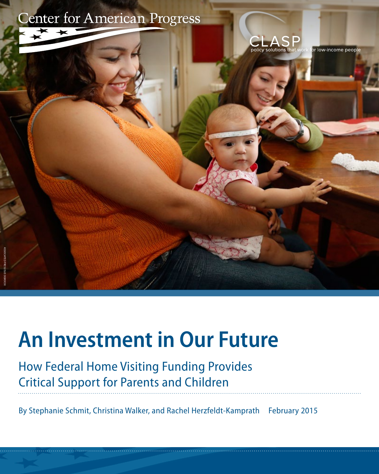

# **An Investment in Our Future**

How Federal Home Visiting Funding Provides Critical Support for Parents and Children

By Stephanie Schmit, Christina Walker, and Rachel Herzfeldt-Kamprath February 2015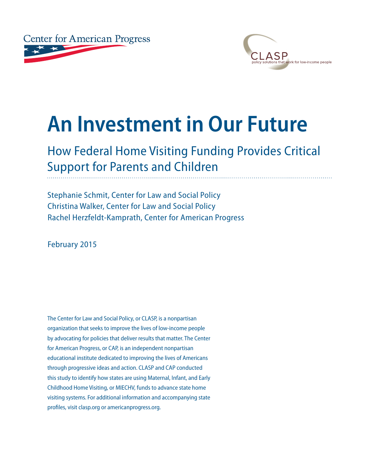



# **An Investment in Our Future**

# How Federal Home Visiting Funding Provides Critical Support for Parents and Children

Stephanie Schmit, Center for Law and Social Policy Christina Walker, Center for Law and Social Policy Rachel Herzfeldt-Kamprath, Center for American Progress

February 2015

The Center for Law and Social Policy, or CLASP, is a nonpartisan organization that seeks to improve the lives of low-income people by advocating for policies that deliver results that matter. The Center for American Progress, or CAP, is an independent nonpartisan educational institute dedicated to improving the lives of Americans through progressive ideas and action. CLASP and CAP conducted this study to identify how states are using Maternal, Infant, and Early Childhood Home Visiting, or MIECHV, funds to advance state home visiting systems. For additional information and accompanying state profiles, visit clasp.org or americanprogress.org.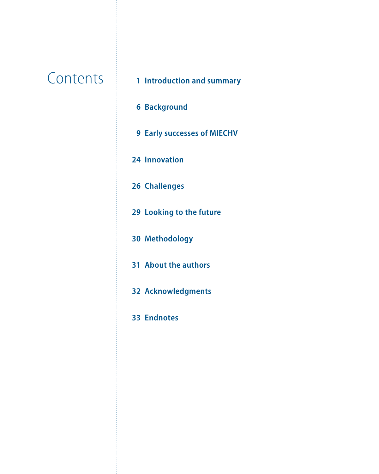# **Contents**

- **[Introduction and summary](#page-3-0)**
- **[Background](#page-8-0)**
- **[Early successes of MIECHV](#page-11-0)**
- **[Innovation](#page-26-0)**
- **[Challenges](#page-28-0)**
- **[Looking to the future](#page-31-0)**
- **[Methodology](#page-32-0)**
- **[About the authors](#page-33-0)**
- **Acknowledgments**
- **[Endnotes](#page-35-0)**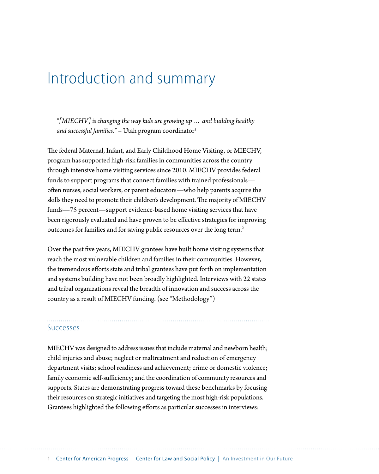# <span id="page-3-0"></span>Introduction and summary

*"[MIECHV] is changing the way kids are growing up … and building healthy and successful families."* – Utah program coordinator*<sup>1</sup>*

The federal Maternal, Infant, and Early Childhood Home Visiting, or MIECHV, program has supported high-risk families in communities across the country through intensive home visiting services since 2010. MIECHV provides federal funds to support programs that connect families with trained professionals often nurses, social workers, or parent educators—who help parents acquire the skills they need to promote their children's development. The majority of MIECHV funds—75 percent—support evidence-based home visiting services that have been rigorously evaluated and have proven to be effective strategies for improving outcomes for families and for saving public resources over the long term.<sup>2</sup>

Over the past five years, MIECHV grantees have built home visiting systems that reach the most vulnerable children and families in their communities. However, the tremendous efforts state and tribal grantees have put forth on implementation and systems building have not been broadly highlighted. Interviews with 22 states and tribal organizations reveal the breadth of innovation and success across the country as a result of MIECHV funding. (see "Methodology")

#### Successes

MIECHV was designed to address issues that include maternal and newborn health; child injuries and abuse; neglect or maltreatment and reduction of emergency department visits; school readiness and achievement; crime or domestic violence; family economic self-sufficiency; and the coordination of community resources and supports. States are demonstrating progress toward these benchmarks by focusing their resources on strategic initiatives and targeting the most high-risk populations. Grantees highlighted the following efforts as particular successes in interviews: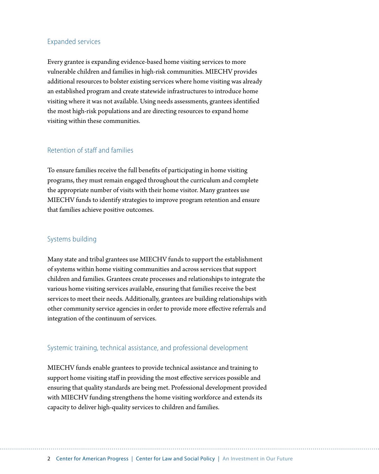### Expanded services

Every grantee is expanding evidence-based home visiting services to more vulnerable children and families in high-risk communities. MIECHV provides additional resources to bolster existing services where home visiting was already an established program and create statewide infrastructures to introduce home visiting where it was not available. Using needs assessments, grantees identified the most high-risk populations and are directing resources to expand home visiting within these communities.

### Retention of staff and families

To ensure families receive the full benefits of participating in home visiting programs, they must remain engaged throughout the curriculum and complete the appropriate number of visits with their home visitor. Many grantees use MIECHV funds to identify strategies to improve program retention and ensure that families achieve positive outcomes.

### Systems building

Many state and tribal grantees use MIECHV funds to support the establishment of systems within home visiting communities and across services that support children and families. Grantees create processes and relationships to integrate the various home visiting services available, ensuring that families receive the best services to meet their needs. Additionally, grantees are building relationships with other community service agencies in order to provide more effective referrals and integration of the continuum of services.

### Systemic training, technical assistance, and professional development

MIECHV funds enable grantees to provide technical assistance and training to support home visiting staff in providing the most effective services possible and ensuring that quality standards are being met. Professional development provided with MIECHV funding strengthens the home visiting workforce and extends its capacity to deliver high-quality services to children and families.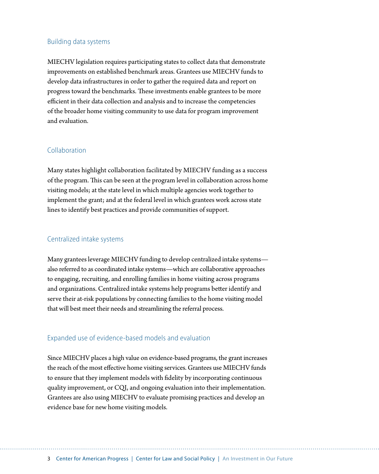### Building data systems

MIECHV legislation requires participating states to collect data that demonstrate improvements on established benchmark areas. Grantees use MIECHV funds to develop data infrastructures in order to gather the required data and report on progress toward the benchmarks. These investments enable grantees to be more efficient in their data collection and analysis and to increase the competencies of the broader home visiting community to use data for program improvement and evaluation.

#### Collaboration

Many states highlight collaboration facilitated by MIECHV funding as a success of the program. This can be seen at the program level in collaboration across home visiting models; at the state level in which multiple agencies work together to implement the grant; and at the federal level in which grantees work across state lines to identify best practices and provide communities of support.

#### Centralized intake systems

Many grantees leverage MIECHV funding to develop centralized intake systems also referred to as coordinated intake systems—which are collaborative approaches to engaging, recruiting, and enrolling families in home visiting across programs and organizations. Centralized intake systems help programs better identify and serve their at-risk populations by connecting families to the home visiting model that will best meet their needs and streamlining the referral process.

#### Expanded use of evidence-based models and evaluation

Since MIECHV places a high value on evidence-based programs, the grant increases the reach of the most effective home visiting services. Grantees use MIECHV funds to ensure that they implement models with fidelity by incorporating continuous quality improvement, or CQI, and ongoing evaluation into their implementation. Grantees are also using MIECHV to evaluate promising practices and develop an evidence base for new home visiting models.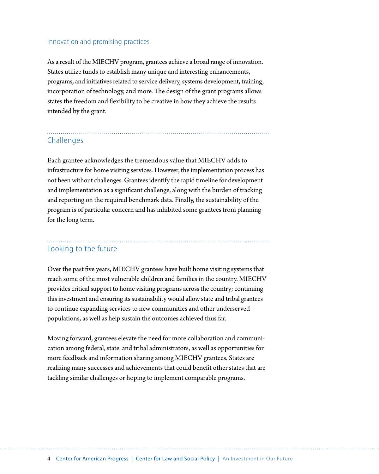#### Innovation and promising practices

As a result of the MIECHV program, grantees achieve a broad range of innovation. States utilize funds to establish many unique and interesting enhancements, programs, and initiatives related to service delivery, systems development, training, incorporation of technology, and more. The design of the grant programs allows states the freedom and flexibility to be creative in how they achieve the results intended by the grant.

# Challenges

Each grantee acknowledges the tremendous value that MIECHV adds to infrastructure for home visiting services. However, the implementation process has not been without challenges. Grantees identify the rapid timeline for development and implementation as a significant challenge, along with the burden of tracking and reporting on the required benchmark data. Finally, the sustainability of the program is of particular concern and has inhibited some grantees from planning for the long term.

# Looking to the future

Over the past five years, MIECHV grantees have built home visiting systems that reach some of the most vulnerable children and families in the country. MIECHV provides critical support to home visiting programs across the country; continuing this investment and ensuring its sustainability would allow state and tribal grantees to continue expanding services to new communities and other underserved populations, as well as help sustain the outcomes achieved thus far.

Moving forward, grantees elevate the need for more collaboration and communication among federal, state, and tribal administrators, as well as opportunities for more feedback and information sharing among MIECHV grantees. States are realizing many successes and achievements that could benefit other states that are tackling similar challenges or hoping to implement comparable programs.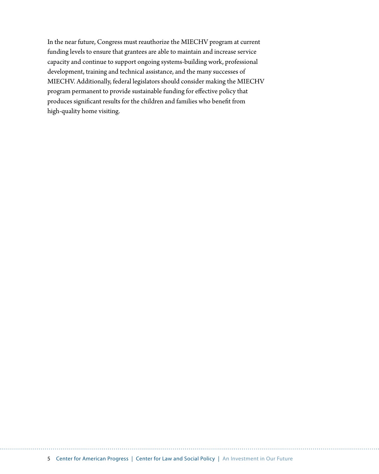In the near future, Congress must reauthorize the MIECHV program at current funding levels to ensure that grantees are able to maintain and increase service capacity and continue to support ongoing systems-building work, professional development, training and technical assistance, and the many successes of MIECHV. Additionally, federal legislators should consider making the MIECHV program permanent to provide sustainable funding for effective policy that produces significant results for the children and families who benefit from high-quality home visiting.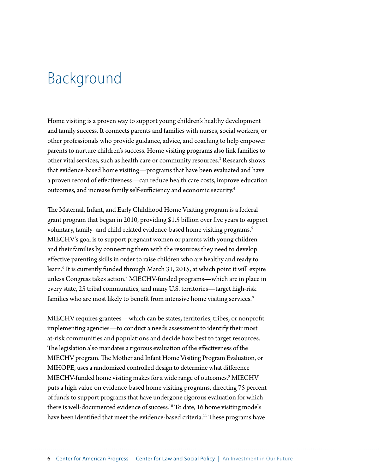# <span id="page-8-0"></span>Background

Home visiting is a proven way to support young children's healthy development and family success. It connects parents and families with nurses, social workers, or other professionals who provide guidance, advice, and coaching to help empower parents to nurture children's success. Home visiting programs also link families to other vital services, such as health care or community resources.<sup>3</sup> Research shows that evidence-based home visiting—programs that have been evaluated and have a proven record of effectiveness—can reduce health care costs, improve education outcomes, and increase family self-sufficiency and economic security.4

The Maternal, Infant, and Early Childhood Home Visiting program is a federal grant program that began in 2010, providing \$1.5 billion over five years to support voluntary, family- and child-related evidence-based home visiting programs.<sup>5</sup> MIECHV's goal is to support pregnant women or parents with young children and their families by connecting them with the resources they need to develop effective parenting skills in order to raise children who are healthy and ready to learn.<sup>6</sup> It is currently funded through March 31, 2015, at which point it will expire unless Congress takes action.7 MIECHV-funded programs—which are in place in every state, 25 tribal communities, and many U.S. territories—target high-risk families who are most likely to benefit from intensive home visiting services.<sup>8</sup>

MIECHV requires grantees—which can be states, territories, tribes, or nonprofit implementing agencies—to conduct a needs assessment to identify their most at-risk communities and populations and decide how best to target resources. The legislation also mandates a rigorous evaluation of the effectiveness of the MIECHV program. The Mother and Infant Home Visiting Program Evaluation, or MIHOPE, uses a randomized controlled design to determine what difference MIECHV-funded home visiting makes for a wide range of outcomes.<sup>9</sup> MIECHV puts a high value on evidence-based home visiting programs, directing 75 percent of funds to support programs that have undergone rigorous evaluation for which there is well-documented evidence of success.<sup>10</sup> To date, 16 home visiting models have been identified that meet the evidence-based criteria.<sup>11</sup> These programs have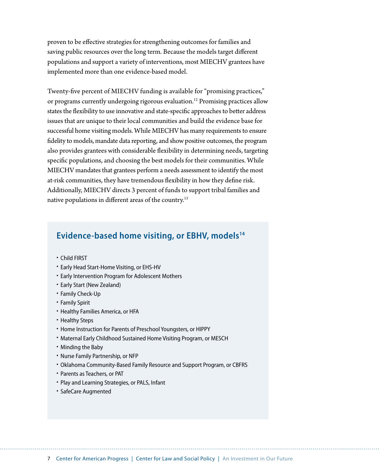proven to be effective strategies for strengthening outcomes for families and saving public resources over the long term. Because the models target different populations and support a variety of interventions, most MIECHV grantees have implemented more than one evidence-based model.

Twenty-five percent of MIECHV funding is available for "promising practices," or programs currently undergoing rigorous evaluation.12 Promising practices allow states the flexibility to use innovative and state-specific approaches to better address issues that are unique to their local communities and build the evidence base for successful home visiting models. While MIECHV has many requirements to ensure fidelity to models, mandate data reporting, and show positive outcomes, the program also provides grantees with considerable flexibility in determining needs, targeting specific populations, and choosing the best models for their communities. While MIECHV mandates that grantees perform a needs assessment to identify the most at-risk communities, they have tremendous flexibility in how they define risk. Additionally, MIECHV directs 3 percent of funds to support tribal families and native populations in different areas of the country.<sup>13</sup>

# **Evidence-based home visiting, or EBHV, models14**

- Child FIRST
- Early Head Start-Home Visiting, or EHS-HV
- Early Intervention Program for Adolescent Mothers
- Early Start (New Zealand)
- Family Check-Up
- Family Spirit
- Healthy Families America, or HFA
- Healthy Steps
- Home Instruction for Parents of Preschool Youngsters, or HIPPY
- Maternal Early Childhood Sustained Home Visiting Program, or MESCH
- Minding the Baby
- Nurse Family Partnership, or NFP
- Oklahoma Community-Based Family Resource and Support Program, or CBFRS
- Parents as Teachers, or PAT
- Play and Learning Strategies, or PALS, Infant
- SafeCare Augmented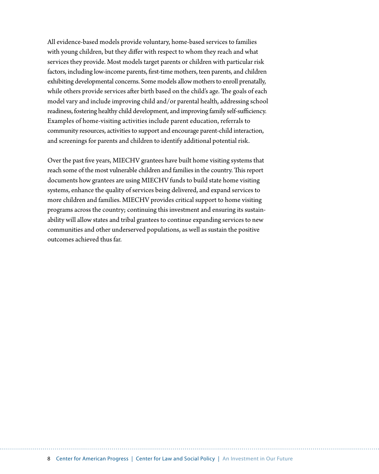All evidence-based models provide voluntary, home-based services to families with young children, but they differ with respect to whom they reach and what services they provide. Most models target parents or children with particular risk factors, including low-income parents, first-time mothers, teen parents, and children exhibiting developmental concerns. Some models allow mothers to enroll prenatally, while others provide services after birth based on the child's age. The goals of each model vary and include improving child and/or parental health, addressing school readiness, fostering healthy child development, and improving family self-sufficiency. Examples of home-visiting activities include parent education, referrals to community resources, activities to support and encourage parent-child interaction, and screenings for parents and children to identify additional potential risk.

Over the past five years, MIECHV grantees have built home visiting systems that reach some of the most vulnerable children and families in the country. This report documents how grantees are using MIECHV funds to build state home visiting systems, enhance the quality of services being delivered, and expand services to more children and families. MIECHV provides critical support to home visiting programs across the country; continuing this investment and ensuring its sustainability will allow states and tribal grantees to continue expanding services to new communities and other underserved populations, as well as sustain the positive outcomes achieved thus far.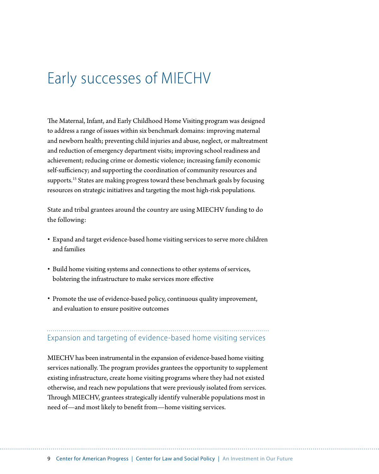# <span id="page-11-0"></span>Early successes of MIECHV

The Maternal, Infant, and Early Childhood Home Visiting program was designed to address a range of issues within six benchmark domains: improving maternal and newborn health; preventing child injuries and abuse, neglect, or maltreatment and reduction of emergency department visits; improving school readiness and achievement; reducing crime or domestic violence; increasing family economic self-sufficiency; and supporting the coordination of community resources and supports.<sup>15</sup> States are making progress toward these benchmark goals by focusing resources on strategic initiatives and targeting the most high-risk populations.

State and tribal grantees around the country are using MIECHV funding to do the following:

- Expand and target evidence-based home visiting services to serve more children and families
- Build home visiting systems and connections to other systems of services, bolstering the infrastructure to make services more effective
- Promote the use of evidence-based policy, continuous quality improvement, and evaluation to ensure positive outcomes

Expansion and targeting of evidence-based home visiting services

MIECHV has been instrumental in the expansion of evidence-based home visiting services nationally. The program provides grantees the opportunity to supplement existing infrastructure, create home visiting programs where they had not existed otherwise, and reach new populations that were previously isolated from services. Through MIECHV, grantees strategically identify vulnerable populations most in need of—and most likely to benefit from—home visiting services.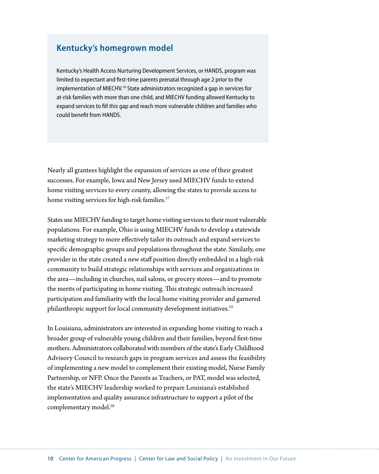# **Kentucky's homegrown model**

Kentucky's Health Access Nurturing Development Services, or HANDS, program was limited to expectant and first-time parents prenatal through age 2 prior to the implementation of MIECHV.<sup>16</sup> State administrators recognized a gap in services for at-risk families with more than one child, and MIECHV funding allowed Kentucky to expand services to fill this gap and reach more vulnerable children and families who could benefit from HANDS.

Nearly all grantees highlight the expansion of services as one of their greatest successes. For example, Iowa and New Jersey used MIECHV funds to extend home visiting services to every county, allowing the states to provide access to home visiting services for high-risk families.<sup>17</sup>

States use MIECHV funding to target home visiting services to their most vulnerable populations. For example, Ohio is using MIECHV funds to develop a statewide marketing strategy to more effectively tailor its outreach and expand services to specific demographic groups and populations throughout the state. Similarly, one provider in the state created a new staff position directly embedded in a high-risk community to build strategic relationships with services and organizations in the area—including in churches, nail salons, or grocery stores—and to promote the merits of participating in home visiting. This strategic outreach increased participation and familiarity with the local home visiting provider and garnered philanthropic support for local community development initiatives.<sup>19</sup>

In Louisiana, administrators are interested in expanding home visiting to reach a broader group of vulnerable young children and their families, beyond first-time mothers. Administrators collaborated with members of the state's Early Childhood Advisory Council to research gaps in program services and assess the feasibility of implementing a new model to complement their existing model, Nurse Family Partnership, or NFP. Once the Parents as Teachers, or PAT, model was selected, the state's MIECHV leadership worked to prepare Louisiana's established implementation and quality assurance infrastructure to support a pilot of the complementary model.<sup>20</sup>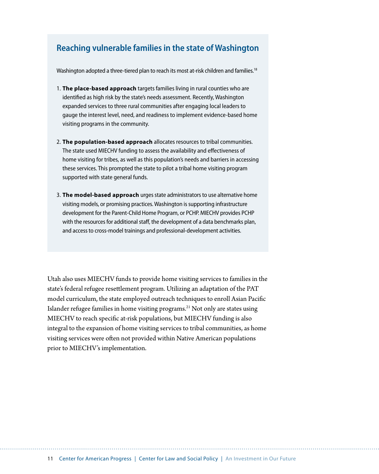# **Reaching vulnerable families in the state of Washington**

Washington adopted a three-tiered plan to reach its most at-risk children and families.<sup>18</sup>

- 1. **The place-based approach** targets families living in rural counties who are identified as high risk by the state's needs assessment. Recently, Washington expanded services to three rural communities after engaging local leaders to gauge the interest level, need, and readiness to implement evidence-based home visiting programs in the community.
- 2. **The population-based approach** allocates resources to tribal communities. The state used MIECHV funding to assess the availability and effectiveness of home visiting for tribes, as well as this population's needs and barriers in accessing these services. This prompted the state to pilot a tribal home visiting program supported with state general funds.
- 3. **The model-based approach** urges state administrators to use alternative home visiting models, or promising practices. Washington is supporting infrastructure development for the Parent-Child Home Program, or PCHP. MIECHV provides PCHP with the resources for additional staff, the development of a data benchmarks plan, and access to cross-model trainings and professional-development activities.

Utah also uses MIECHV funds to provide home visiting services to families in the state's federal refugee resettlement program. Utilizing an adaptation of the PAT model curriculum, the state employed outreach techniques to enroll Asian Pacific Islander refugee families in home visiting programs.21 Not only are states using MIECHV to reach specific at-risk populations, but MIECHV funding is also integral to the expansion of home visiting services to tribal communities, as home visiting services were often not provided within Native American populations prior to MIECHV's implementation.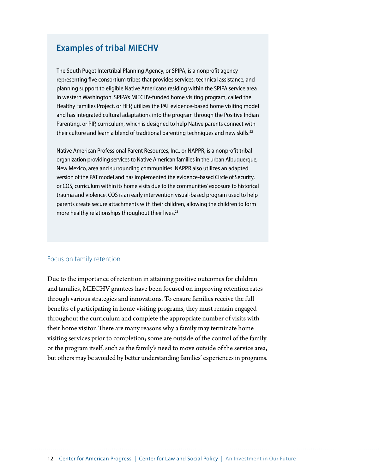# **Examples of tribal MIECHV**

The South Puget Intertribal Planning Agency, or SPIPA, is a nonprofit agency representing five consortium tribes that provides services, technical assistance, and planning support to eligible Native Americans residing within the SPIPA service area in western Washington. SPIPA's MIECHV-funded home visiting program, called the Healthy Families Project, or HFP, utilizes the PAT evidence-based home visiting model and has integrated cultural adaptations into the program through the Positive Indian Parenting, or PIP, curriculum, which is designed to help Native parents connect with their culture and learn a blend of traditional parenting techniques and new skills. $^{22}$ 

Native American Professional Parent Resources, Inc., or NAPPR, is a nonprofit tribal organization providing services to Native American families in the urban Albuquerque, New Mexico, area and surrounding communities. NAPPR also utilizes an adapted version of the PAT model and has implemented the evidence-based Circle of Security, or COS, curriculum within its home visits due to the communities' exposure to historical trauma and violence. COS is an early intervention visual-based program used to help parents create secure attachments with their children, allowing the children to form more healthy relationships throughout their lives.<sup>23</sup>

### Focus on family retention

Due to the importance of retention in attaining positive outcomes for children and families, MIECHV grantees have been focused on improving retention rates through various strategies and innovations. To ensure families receive the full benefits of participating in home visiting programs, they must remain engaged throughout the curriculum and complete the appropriate number of visits with their home visitor. There are many reasons why a family may terminate home visiting services prior to completion; some are outside of the control of the family or the program itself, such as the family's need to move outside of the service area, but others may be avoided by better understanding families' experiences in programs.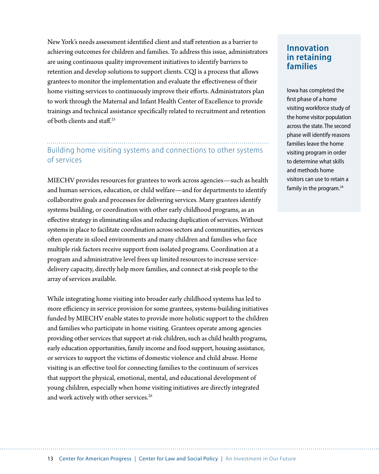New York's needs assessment identified client and staff retention as a barrier to achieving outcomes for children and families. To address this issue, administrators are using continuous quality improvement initiatives to identify barriers to retention and develop solutions to support clients. CQI is a process that allows grantees to monitor the implementation and evaluate the effectiveness of their home visiting services to continuously improve their efforts. Administrators plan to work through the Maternal and Infant Health Center of Excellence to provide trainings and technical assistance specifically related to recruitment and retention of both clients and staff.25

# Building home visiting systems and connections to other systems of services

MIECHV provides resources for grantees to work across agencies—such as health and human services, education, or child welfare—and for departments to identify collaborative goals and processes for delivering services. Many grantees identify systems building, or coordination with other early childhood programs, as an effective strategy in eliminating silos and reducing duplication of services. Without systems in place to facilitate coordination across sectors and communities, services often operate in siloed environments and many children and families who face multiple risk factors receive support from isolated programs. Coordination at a program and administrative level frees up limited resources to increase servicedelivery capacity, directly help more families, and connect at-risk people to the array of services available.

While integrating home visiting into broader early childhood systems has led to more efficiency in service provision for some grantees, systems-building initiatives funded by MIECHV enable states to provide more holistic support to the children and families who participate in home visiting. Grantees operate among agencies providing other services that support at-risk children, such as child health programs, early education opportunities, family income and food support, housing assistance, or services to support the victims of domestic violence and child abuse. Home visiting is an effective tool for connecting families to the continuum of services that support the physical, emotional, mental, and educational development of young children, especially when home visiting initiatives are directly integrated and work actively with other services.<sup>26</sup>

# **Innovation in retaining families**

Iowa has completed the first phase of a home visiting workforce study of the home visitor population across the state. The second phase will identify reasons families leave the home visiting program in order to determine what skills and methods home visitors can use to retain a family in the program.<sup>24</sup>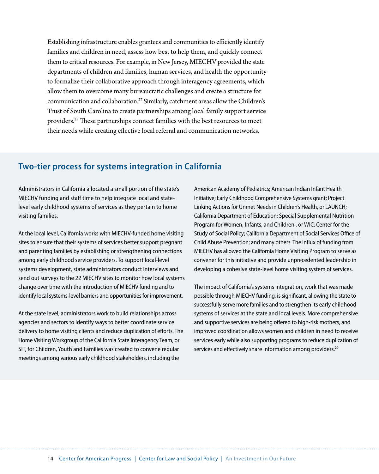Establishing infrastructure enables grantees and communities to efficiently identify families and children in need, assess how best to help them, and quickly connect them to critical resources. For example, in New Jersey, MIECHV provided the state departments of children and families, human services, and health the opportunity to formalize their collaborative approach through interagency agreements, which allow them to overcome many bureaucratic challenges and create a structure for communication and collaboration.27 Similarly, catchment areas allow the Children's Trust of South Carolina to create partnerships among local family support service providers.28 These partnerships connect families with the best resources to meet their needs while creating effective local referral and communication networks.

# **Two-tier process for systems integration in California**

Administrators in California allocated a small portion of the state's MIECHV funding and staff time to help integrate local and statelevel early childhood systems of services as they pertain to home visiting families.

At the local level, California works with MIECHV-funded home visiting sites to ensure that their systems of services better support pregnant and parenting families by establishing or strengthening connections among early childhood service providers. To support local-level systems development, state administrators conduct interviews and send out surveys to the 22 MIECHV sites to monitor how local systems change over time with the introduction of MIECHV funding and to identify local systems-level barriers and opportunities for improvement.

At the state level, administrators work to build relationships across agencies and sectors to identify ways to better coordinate service delivery to home visiting clients and reduce duplication of efforts. The Home Visiting Workgroup of the California State Interagency Team, or SIT, for Children, Youth and Families was created to convene regular meetings among various early childhood stakeholders, including the

American Academy of Pediatrics; American Indian Infant Health Initiative; Early Childhood Comprehensive Systems grant; Project Linking Actions for Unmet Needs in Children's Health, or LAUNCH; California Department of Education; Special Supplemental Nutrition Program for Women, Infants, and Children , or WIC; Center for the Study of Social Policy; California Department of Social Services Office of Child Abuse Prevention; and many others. The influx of funding from MIECHV has allowed the California Home Visiting Program to serve as convener for this initiative and provide unprecedented leadership in developing a cohesive state-level home visiting system of services.

The impact of California's systems integration, work that was made possible through MIECHV funding, is significant, allowing the state to successfully serve more families and to strengthen its early childhood systems of services at the state and local levels. More comprehensive and supportive services are being offered to high-risk mothers, and improved coordination allows women and children in need to receive services early while also supporting programs to reduce duplication of services and effectively share information among providers.<sup>29</sup>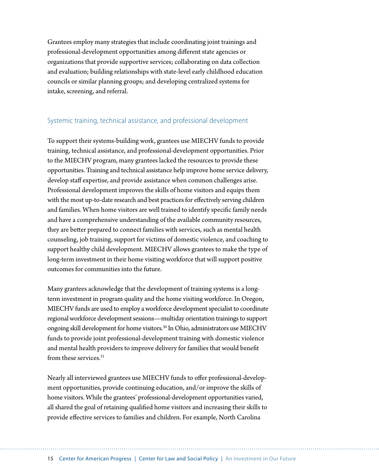Grantees employ many strategies that include coordinating joint trainings and professional-development opportunities among different state agencies or organizations that provide supportive services; collaborating on data collection and evaluation; building relationships with state-level early childhood education councils or similar planning groups; and developing centralized systems for intake, screening, and referral.

### Systemic training, technical assistance, and professional development

To support their systems-building work, grantees use MIECHV funds to provide training, technical assistance, and professional-development opportunities. Prior to the MIECHV program, many grantees lacked the resources to provide these opportunities. Training and technical assistance help improve home service delivery, develop staff expertise, and provide assistance when common challenges arise. Professional development improves the skills of home visitors and equips them with the most up-to-date research and best practices for effectively serving children and families. When home visitors are well trained to identify specific family needs and have a comprehensive understanding of the available community resources, they are better prepared to connect families with services, such as mental health counseling, job training, support for victims of domestic violence, and coaching to support healthy child development. MIECHV allows grantees to make the type of long-term investment in their home visiting workforce that will support positive outcomes for communities into the future.

Many grantees acknowledge that the development of training systems is a longterm investment in program quality and the home visiting workforce. In Oregon, MIECHV funds are used to employ a workforce development specialist to coordinate regional workforce development sessions—multiday orientation trainings to support ongoing skill development for home visitors.30 In Ohio, administrators use MIECHV funds to provide joint professional-development training with domestic violence and mental health providers to improve delivery for families that would benefit from these services.<sup>31</sup>

Nearly all interviewed grantees use MIECHV funds to offer professional-development opportunities, provide continuing education, and/or improve the skills of home visitors. While the grantees' professional-development opportunities varied, all shared the goal of retaining qualified home visitors and increasing their skills to provide effective services to families and children. For example, North Carolina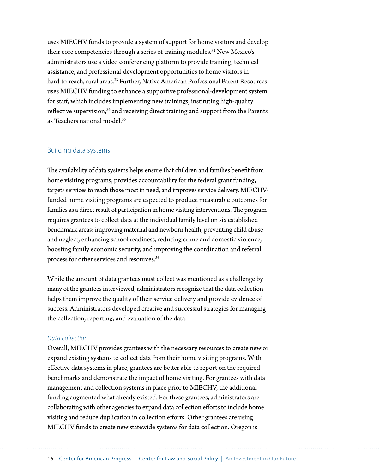uses MIECHV funds to provide a system of support for home visitors and develop their core competencies through a series of training modules.<sup>32</sup> New Mexico's administrators use a video conferencing platform to provide training, technical assistance, and professional-development opportunities to home visitors in hard-to-reach, rural areas.<sup>33</sup> Further, Native American Professional Parent Resources uses MIECHV funding to enhance a supportive professional-development system for staff, which includes implementing new trainings, instituting high-quality reflective supervision, $34$  and receiving direct training and support from the Parents as Teachers national model.35

#### Building data systems

The availability of data systems helps ensure that children and families benefit from home visiting programs, provides accountability for the federal grant funding, targets services to reach those most in need, and improves service delivery. MIECHVfunded home visiting programs are expected to produce measurable outcomes for families as a direct result of participation in home visiting interventions. The program requires grantees to collect data at the individual family level on six established benchmark areas: improving maternal and newborn health, preventing child abuse and neglect, enhancing school readiness, reducing crime and domestic violence, boosting family economic security, and improving the coordination and referral process for other services and resources.36

While the amount of data grantees must collect was mentioned as a challenge by many of the grantees interviewed, administrators recognize that the data collection helps them improve the quality of their service delivery and provide evidence of success. Administrators developed creative and successful strategies for managing the collection, reporting, and evaluation of the data.

#### *Data collection*

Overall, MIECHV provides grantees with the necessary resources to create new or expand existing systems to collect data from their home visiting programs. With effective data systems in place, grantees are better able to report on the required benchmarks and demonstrate the impact of home visiting. For grantees with data management and collection systems in place prior to MIECHV, the additional funding augmented what already existed. For these grantees, administrators are collaborating with other agencies to expand data collection efforts to include home visiting and reduce duplication in collection efforts. Other grantees are using MIECHV funds to create new statewide systems for data collection. Oregon is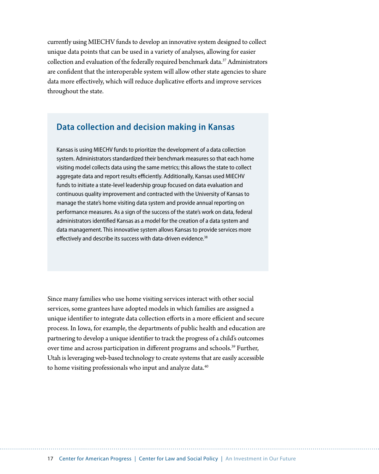currently using MIECHV funds to develop an innovative system designed to collect unique data points that can be used in a variety of analyses, allowing for easier collection and evaluation of the federally required benchmark data.37 Administrators are confident that the interoperable system will allow other state agencies to share data more effectively, which will reduce duplicative efforts and improve services throughout the state.

# **Data collection and decision making in Kansas**

Kansas is using MIECHV funds to prioritize the development of a data collection system. Administrators standardized their benchmark measures so that each home visiting model collects data using the same metrics; this allows the state to collect aggregate data and report results efficiently. Additionally, Kansas used MIECHV funds to initiate a state-level leadership group focused on data evaluation and continuous quality improvement and contracted with the University of Kansas to manage the state's home visiting data system and provide annual reporting on performance measures. As a sign of the success of the state's work on data, federal administrators identified Kansas as a model for the creation of a data system and data management. This innovative system allows Kansas to provide services more effectively and describe its success with data-driven evidence.<sup>38</sup>

Since many families who use home visiting services interact with other social services, some grantees have adopted models in which families are assigned a unique identifier to integrate data collection efforts in a more efficient and secure process. In Iowa, for example, the departments of public health and education are partnering to develop a unique identifier to track the progress of a child's outcomes over time and across participation in different programs and schools.<sup>39</sup> Further, Utah is leveraging web-based technology to create systems that are easily accessible to home visiting professionals who input and analyze data.<sup>40</sup>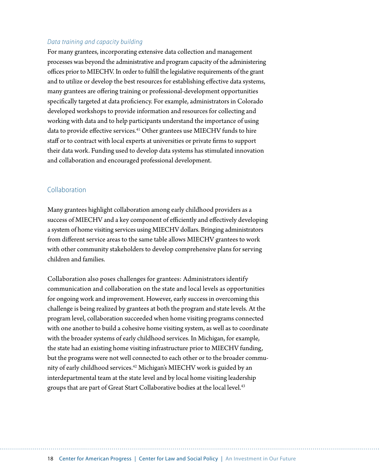### *Data training and capacity building*

For many grantees, incorporating extensive data collection and management processes was beyond the administrative and program capacity of the administering offices prior to MIECHV. In order to fulfill the legislative requirements of the grant and to utilize or develop the best resources for establishing effective data systems, many grantees are offering training or professional-development opportunities specifically targeted at data proficiency. For example, administrators in Colorado developed workshops to provide information and resources for collecting and working with data and to help participants understand the importance of using data to provide effective services.<sup>41</sup> Other grantees use MIECHV funds to hire staff or to contract with local experts at universities or private firms to support their data work. Funding used to develop data systems has stimulated innovation and collaboration and encouraged professional development.

#### Collaboration

Many grantees highlight collaboration among early childhood providers as a success of MIECHV and a key component of efficiently and effectively developing a system of home visiting services using MIECHV dollars. Bringing administrators from different service areas to the same table allows MIECHV grantees to work with other community stakeholders to develop comprehensive plans for serving children and families.

Collaboration also poses challenges for grantees: Administrators identify communication and collaboration on the state and local levels as opportunities for ongoing work and improvement. However, early success in overcoming this challenge is being realized by grantees at both the program and state levels. At the program level, collaboration succeeded when home visiting programs connected with one another to build a cohesive home visiting system, as well as to coordinate with the broader systems of early childhood services. In Michigan, for example, the state had an existing home visiting infrastructure prior to MIECHV funding, but the programs were not well connected to each other or to the broader community of early childhood services.<sup>42</sup> Michigan's MIECHV work is guided by an interdepartmental team at the state level and by local home visiting leadership groups that are part of Great Start Collaborative bodies at the local level.<sup>43</sup>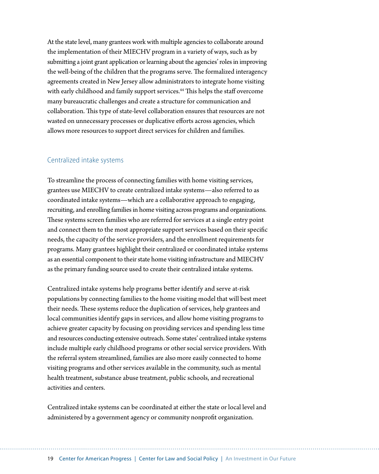At the state level, many grantees work with multiple agencies to collaborate around the implementation of their MIECHV program in a variety of ways, such as by submitting a joint grant application or learning about the agencies' roles in improving the well-being of the children that the programs serve. The formalized interagency agreements created in New Jersey allow administrators to integrate home visiting with early childhood and family support services.<sup>44</sup> This helps the staff overcome many bureaucratic challenges and create a structure for communication and collaboration. This type of state-level collaboration ensures that resources are not wasted on unnecessary processes or duplicative efforts across agencies, which allows more resources to support direct services for children and families.

#### Centralized intake systems

To streamline the process of connecting families with home visiting services, grantees use MIECHV to create centralized intake systems—also referred to as coordinated intake systems—which are a collaborative approach to engaging, recruiting, and enrolling families in home visiting across programs and organizations. These systems screen families who are referred for services at a single entry point and connect them to the most appropriate support services based on their specific needs, the capacity of the service providers, and the enrollment requirements for programs. Many grantees highlight their centralized or coordinated intake systems as an essential component to their state home visiting infrastructure and MIECHV as the primary funding source used to create their centralized intake systems.

Centralized intake systems help programs better identify and serve at-risk populations by connecting families to the home visiting model that will best meet their needs. These systems reduce the duplication of services, help grantees and local communities identify gaps in services, and allow home visiting programs to achieve greater capacity by focusing on providing services and spending less time and resources conducting extensive outreach. Some states' centralized intake systems include multiple early childhood programs or other social service providers. With the referral system streamlined, families are also more easily connected to home visiting programs and other services available in the community, such as mental health treatment, substance abuse treatment, public schools, and recreational activities and centers.

Centralized intake systems can be coordinated at either the state or local level and administered by a government agency or community nonprofit organization.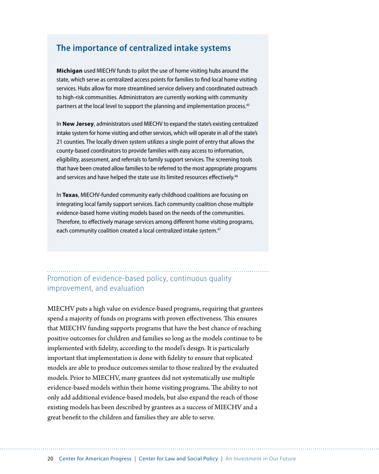# **The importance of centralized intake systems**

**Michigan** used MIECHV funds to pilot the use of home visiting hubs around the state, which serve as centralized access points for families to find local home visiting services. Hubs allow for more streamlined service delivery and coordinated outreach to high-risk communities. Administrators are currently working with community partners at the local level to support the planning and implementation process.<sup>45</sup>

In **New Jersey**, administrators used MIECHV to expand the state's existing centralized intake system for home visiting and other services, which will operate in all of the state's 21 counties. The locally driven system utilizes a single point of entry that allows the county-based coordinators to provide families with easy access to information, eligibility, assessment, and referrals to family support services. The screening tools that have been created allow families to be referred to the most appropriate programs and services and have helped the state use its limited resources effectively.<sup>46</sup>

In **Texas**, MIECHV-funded community early childhood coalitions are focusing on integrating local family support services. Each community coalition chose multiple evidence-based home visiting models based on the needs of the communities. Therefore, to effectively manage services among different home visiting programs, each community coalition created a local centralized intake system.<sup>47</sup>

Promotion of evidence-based policy, continuous quality improvement, and evaluation

MIECHV puts a high value on evidence-based programs, requiring that grantees spend a majority of funds on programs with proven effectiveness. This ensures that MIECHV funding supports programs that have the best chance of reaching positive outcomes for children and families so long as the models continue to be implemented with fidelity, according to the model's design. It is particularly important that implementation is done with fidelity to ensure that replicated models are able to produce outcomes similar to those realized by the evaluated models. Prior to MIECHV, many grantees did not systematically use multiple evidence-based models within their home visiting programs. The ability to not only add additional evidence-based models, but also expand the reach of those existing models has been described by grantees as a success of MIECHV and a great benefit to the children and families they are able to serve.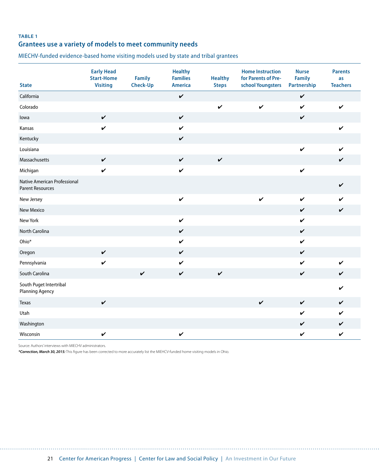### **TABLE 1 Grantees use a variety of models to meet community needs**

MIECHV-funded evidence-based home visiting models used by state and tribal grantees

| <b>State</b>                                            | <b>Early Head</b><br><b>Start-Home</b><br><b>Visiting</b> | <b>Family</b><br>Check-Up | <b>Healthy</b><br><b>Families</b><br><b>America</b> | <b>Healthy</b><br><b>Steps</b> | <b>Home Instruction</b><br>for Parents of Pre-<br>school Youngsters | <b>Nurse</b><br><b>Family</b><br>Partnership | <b>Parents</b><br>as<br><b>Teachers</b> |
|---------------------------------------------------------|-----------------------------------------------------------|---------------------------|-----------------------------------------------------|--------------------------------|---------------------------------------------------------------------|----------------------------------------------|-----------------------------------------|
| California                                              |                                                           |                           | $\checkmark$                                        |                                |                                                                     | $\checkmark$                                 |                                         |
| Colorado                                                |                                                           |                           |                                                     | $\checkmark$                   | $\checkmark$                                                        | $\boldsymbol{\mathcal{U}}$                   | $\checkmark$                            |
| lowa                                                    | $\checkmark$                                              |                           | $\checkmark$                                        |                                |                                                                     | $\checkmark$                                 |                                         |
| Kansas                                                  | $\checkmark$                                              |                           | $\checkmark$                                        |                                |                                                                     |                                              | $\checkmark$                            |
| Kentucky                                                |                                                           |                           | $\checkmark$                                        |                                |                                                                     |                                              |                                         |
| Louisiana                                               |                                                           |                           |                                                     |                                |                                                                     | $\checkmark$                                 | $\checkmark$                            |
| Massachusetts                                           | $\checkmark$                                              |                           | $\checkmark$                                        | $\checkmark$                   |                                                                     |                                              | $\checkmark$                            |
| Michigan                                                | $\checkmark$                                              |                           | $\checkmark$                                        |                                |                                                                     | $\checkmark$                                 |                                         |
| Native American Professional<br><b>Parent Resources</b> |                                                           |                           |                                                     |                                |                                                                     |                                              | $\checkmark$                            |
| New Jersey                                              |                                                           |                           | $\checkmark$                                        |                                | $\checkmark$                                                        | $\checkmark$                                 | $\boldsymbol{\mathcal{U}}$              |
| <b>New Mexico</b>                                       |                                                           |                           |                                                     |                                |                                                                     | $\checkmark$                                 | $\checkmark$                            |
| New York                                                |                                                           |                           | $\checkmark$                                        |                                |                                                                     | V                                            |                                         |
| North Carolina                                          |                                                           |                           | $\checkmark$                                        |                                |                                                                     | $\checkmark$                                 |                                         |
| Ohio*                                                   |                                                           |                           | $\checkmark$                                        |                                |                                                                     | $\boldsymbol{\mathcal{U}}$                   |                                         |
| Oregon                                                  | $\checkmark$                                              |                           | $\checkmark$                                        |                                |                                                                     | V                                            |                                         |
| Pennsylvania                                            | $\checkmark$                                              |                           | $\checkmark$                                        |                                |                                                                     | $\checkmark$                                 | $\checkmark$                            |
| South Carolina                                          |                                                           | $\checkmark$              | $\checkmark$                                        | $\checkmark$                   |                                                                     | $\checkmark$                                 | $\checkmark$                            |
| South Puget Intertribal<br><b>Planning Agency</b>       |                                                           |                           |                                                     |                                |                                                                     |                                              | V                                       |
| Texas                                                   | $\checkmark$                                              |                           |                                                     |                                | $\checkmark$                                                        | $\checkmark$                                 | $\checkmark$                            |
| Utah                                                    |                                                           |                           |                                                     |                                |                                                                     | V                                            | $\checkmark$                            |
| Washington                                              |                                                           |                           |                                                     |                                |                                                                     | V                                            | $\checkmark$                            |
| Wisconsin                                               | $\checkmark$                                              |                           | $\checkmark$                                        |                                |                                                                     | V                                            | V                                       |

Source: Authors' interviews with MIECHV administrators.

*\*Correction, March 30, 2015:* This figure has been corrected to more accurately list the MIEHCV-funded home visiting models in Ohio.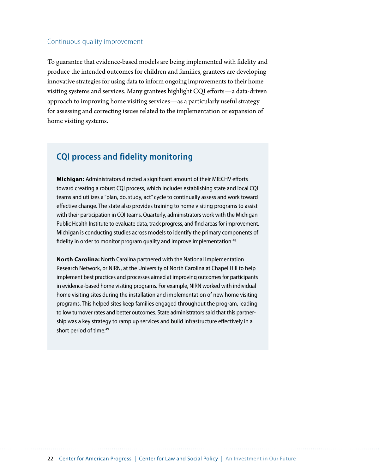#### Continuous quality improvement

To guarantee that evidence-based models are being implemented with fidelity and produce the intended outcomes for children and families, grantees are developing innovative strategies for using data to inform ongoing improvements to their home visiting systems and services. Many grantees highlight CQI efforts—a data-driven approach to improving home visiting services—as a particularly useful strategy for assessing and correcting issues related to the implementation or expansion of home visiting systems.

# **CQI process and fidelity monitoring**

**Michigan:** Administrators directed a significant amount of their MIECHV efforts toward creating a robust CQI process, which includes establishing state and local CQI teams and utilizes a "plan, do, study, act" cycle to continually assess and work toward effective change. The state also provides training to home visiting programs to assist with their participation in CQI teams. Quarterly, administrators work with the Michigan Public Health Institute to evaluate data, track progress, and find areas for improvement. Michigan is conducting studies across models to identify the primary components of fidelity in order to monitor program quality and improve implementation.<sup>48</sup>

**North Carolina:** North Carolina partnered with the National Implementation Research Network, or NIRN, at the University of North Carolina at Chapel Hill to help implement best practices and processes aimed at improving outcomes for participants in evidence-based home visiting programs. For example, NIRN worked with individual home visiting sites during the installation and implementation of new home visiting programs. This helped sites keep families engaged throughout the program, leading to low turnover rates and better outcomes. State administrators said that this partnership was a key strategy to ramp up services and build infrastructure effectively in a short period of time.<sup>49</sup>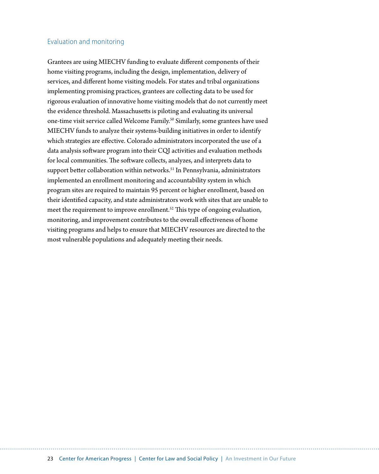### Evaluation and monitoring

Grantees are using MIECHV funding to evaluate different components of their home visiting programs, including the design, implementation, delivery of services, and different home visiting models. For states and tribal organizations implementing promising practices, grantees are collecting data to be used for rigorous evaluation of innovative home visiting models that do not currently meet the evidence threshold. Massachusetts is piloting and evaluating its universal one-time visit service called Welcome Family.<sup>50</sup> Similarly, some grantees have used MIECHV funds to analyze their systems-building initiatives in order to identify which strategies are effective. Colorado administrators incorporated the use of a data analysis software program into their CQI activities and evaluation methods for local communities. The software collects, analyzes, and interprets data to support better collaboration within networks.<sup>51</sup> In Pennsylvania, administrators implemented an enrollment monitoring and accountability system in which program sites are required to maintain 95 percent or higher enrollment, based on their identified capacity, and state administrators work with sites that are unable to meet the requirement to improve enrollment.<sup>52</sup> This type of ongoing evaluation, monitoring, and improvement contributes to the overall effectiveness of home visiting programs and helps to ensure that MIECHV resources are directed to the most vulnerable populations and adequately meeting their needs.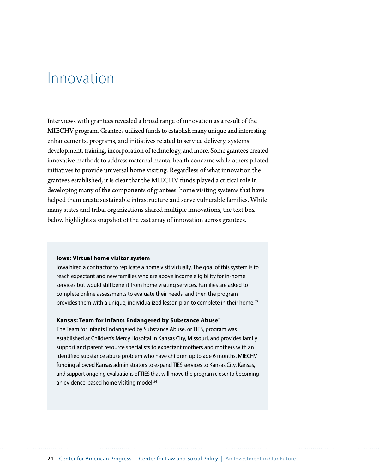# <span id="page-26-0"></span>Innovation

Interviews with grantees revealed a broad range of innovation as a result of the MIECHV program. Grantees utilized funds to establish many unique and interesting enhancements, programs, and initiatives related to service delivery, systems development, training, incorporation of technology, and more. Some grantees created innovative methods to address maternal mental health concerns while others piloted initiatives to provide universal home visiting. Regardless of what innovation the grantees established, it is clear that the MIECHV funds played a critical role in developing many of the components of grantees' home visiting systems that have helped them create sustainable infrastructure and serve vulnerable families. While many states and tribal organizations shared multiple innovations, the text box below highlights a snapshot of the vast array of innovation across grantees.

#### **Iowa: Virtual home visitor system**

Iowa hired a contractor to replicate a home visit virtually. The goal of this system is to reach expectant and new families who are above income eligibility for in-home services but would still benefit from home visiting services. Families are asked to complete online assessments to evaluate their needs, and then the program provides them with a unique, individualized lesson plan to complete in their home.<sup>53</sup>

#### **Kansas: Team for Infants Endangered by Substance Abuse**\*

The Team for Infants Endangered by Substance Abuse, or TIES, program was established at Children's Mercy Hospital in Kansas City, Missouri, and provides family support and parent resource specialists to expectant mothers and mothers with an identified substance abuse problem who have children up to age 6 months. MIECHV funding allowed Kansas administrators to expand TIES services to Kansas City, Kansas, and support ongoing evaluations of TIES that will move the program closer to becoming an evidence-based home visiting model.<sup>54</sup>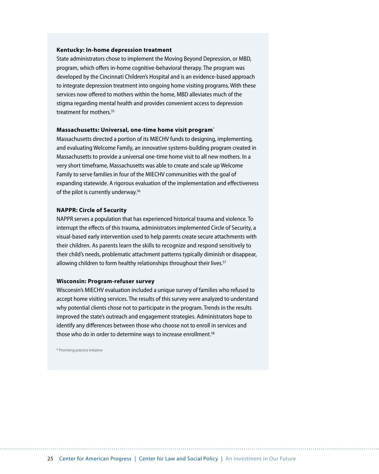#### **Kentucky: In-home depression treatment**

State administrators chose to implement the Moving Beyond Depression, or MBD, program, which offers in-home cognitive-behavioral therapy. The program was developed by the Cincinnati Children's Hospital and is an evidence-based approach to integrate depression treatment into ongoing home visiting programs. With these services now offered to mothers within the home, MBD alleviates much of the stigma regarding mental health and provides convenient access to depression treatment for mothers.<sup>55</sup>

#### **Massachusetts: Universal, one-time home visit program**\*

Massachusetts directed a portion of its MIECHV funds to designing, implementing, and evaluating Welcome Family, an innovative systems-building program created in Massachusetts to provide a universal one-time home visit to all new mothers. In a very short timeframe, Massachusetts was able to create and scale up Welcome Family to serve families in four of the MIECHV communities with the goal of expanding statewide. A rigorous evaluation of the implementation and effectiveness of the pilot is currently underway.<sup>56</sup>

#### **NAPPR: Circle of Security**

NAPPR serves a population that has experienced historical trauma and violence. To interrupt the effects of this trauma, administrators implemented Circle of Security, a visual-based early intervention used to help parents create secure attachments with their children. As parents learn the skills to recognize and respond sensitively to their child's needs, problematic attachment patterns typically diminish or disappear, allowing children to form healthy relationships throughout their lives.<sup>57</sup>

#### **Wisconsin: Program-refuser survey**

Wisconsin's MIECHV evaluation included a unique survey of families who refused to accept home visiting services. The results of this survey were analyzed to understand why potential clients chose not to participate in the program. Trends in the results improved the state's outreach and engagement strategies. Administrators hope to identify any differences between those who choose not to enroll in services and those who do in order to determine ways to increase enrollment.<sup>58</sup>

\* Promising practice initiative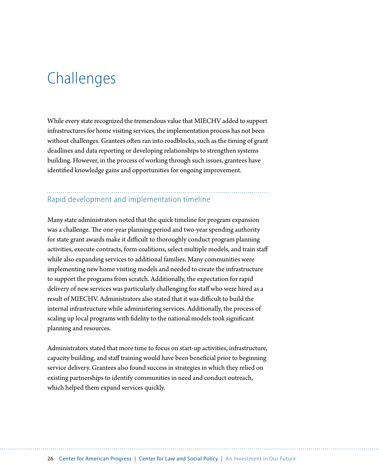# <span id="page-28-0"></span>**Challenges**

While every state recognized the tremendous value that MIECHV added to support infrastructures for home visiting services, the implementation process has not been without challenges. Grantees often ran into roadblocks, such as the timing of grant deadlines and data reporting or developing relationships to strengthen systems building. However, in the process of working through such issues, grantees have identified knowledge gains and opportunities for ongoing improvement.

# Rapid development and implementation timeline

Many state administrators noted that the quick timeline for program expansion was a challenge. The one-year planning period and two-year spending authority for state grant awards make it difficult to thoroughly conduct program planning activities, execute contracts, form coalitions, select multiple models, and train staff while also expanding services to additional families. Many communities were implementing new home visiting models and needed to create the infrastructure to support the programs from scratch. Additionally, the expectation for rapid delivery of new services was particularly challenging for staff who were hired as a result of MIECHV. Administrators also stated that it was difficult to build the internal infrastructure while administering services. Additionally, the process of scaling up local programs with fidelity to the national models took significant planning and resources.

Administrators stated that more time to focus on start-up activities, infrastructure, capacity building, and staff training would have been beneficial prior to beginning service delivery. Grantees also found success in strategies in which they relied on existing partnerships to identify communities in need and conduct outreach, which helped them expand services quickly.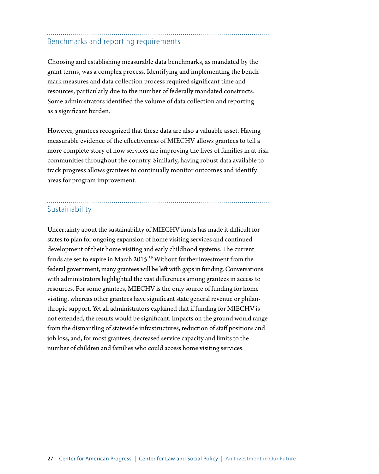# Benchmarks and reporting requirements

Choosing and establishing measurable data benchmarks, as mandated by the grant terms, was a complex process. Identifying and implementing the benchmark measures and data collection process required significant time and resources, particularly due to the number of federally mandated constructs. Some administrators identified the volume of data collection and reporting as a significant burden.

However, grantees recognized that these data are also a valuable asset. Having measurable evidence of the effectiveness of MIECHV allows grantees to tell a more complete story of how services are improving the lives of families in at-risk communities throughout the country. Similarly, having robust data available to track progress allows grantees to continually monitor outcomes and identify areas for program improvement.

## Sustainability

Uncertainty about the sustainability of MIECHV funds has made it difficult for states to plan for ongoing expansion of home visiting services and continued development of their home visiting and early childhood systems. The current funds are set to expire in March 2015.<sup>59</sup> Without further investment from the federal government, many grantees will be left with gaps in funding. Conversations with administrators highlighted the vast differences among grantees in access to resources. For some grantees, MIECHV is the only source of funding for home visiting, whereas other grantees have significant state general revenue or philanthropic support. Yet all administrators explained that if funding for MIECHV is not extended, the results would be significant. Impacts on the ground would range from the dismantling of statewide infrastructures, reduction of staff positions and job loss, and, for most grantees, decreased service capacity and limits to the number of children and families who could access home visiting services.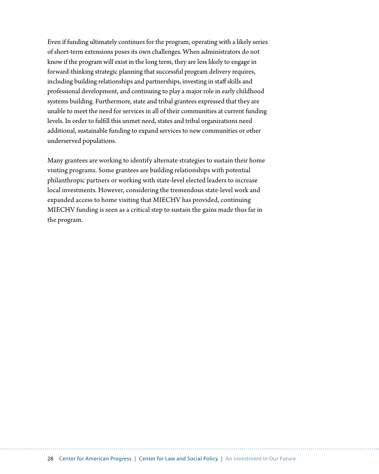Even if funding ultimately continues for the program, operating with a likely series of short-term extensions poses its own challenges. When administrators do not know if the program will exist in the long term, they are less likely to engage in forward-thinking strategic planning that successful program delivery requires, including building relationships and partnerships, investing in staff skills and professional development, and continuing to play a major role in early childhood systems building. Furthermore, state and tribal grantees expressed that they are unable to meet the need for services in all of their communities at current funding levels. In order to fulfill this unmet need, states and tribal organizations need additional, sustainable funding to expand services to new communities or other underserved populations.

Many grantees are working to identify alternate strategies to sustain their home visiting programs. Some grantees are building relationships with potential philanthropic partners or working with state-level elected leaders to increase local investments. However, considering the tremendous state-level work and expanded access to home visiting that MIECHV has provided, continuing MIECHV funding is seen as a critical step to sustain the gains made thus far in the program.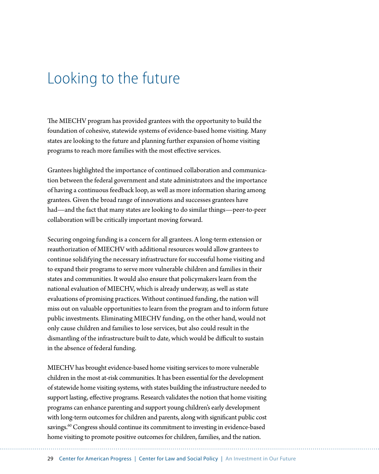# <span id="page-31-0"></span>Looking to the future

The MIECHV program has provided grantees with the opportunity to build the foundation of cohesive, statewide systems of evidence-based home visiting. Many states are looking to the future and planning further expansion of home visiting programs to reach more families with the most effective services.

Grantees highlighted the importance of continued collaboration and communication between the federal government and state administrators and the importance of having a continuous feedback loop, as well as more information sharing among grantees. Given the broad range of innovations and successes grantees have had—and the fact that many states are looking to do similar things—peer-to-peer collaboration will be critically important moving forward.

Securing ongoing funding is a concern for all grantees. A long-term extension or reauthorization of MIECHV with additional resources would allow grantees to continue solidifying the necessary infrastructure for successful home visiting and to expand their programs to serve more vulnerable children and families in their states and communities. It would also ensure that policymakers learn from the national evaluation of MIECHV, which is already underway, as well as state evaluations of promising practices. Without continued funding, the nation will miss out on valuable opportunities to learn from the program and to inform future public investments. Eliminating MIECHV funding, on the other hand, would not only cause children and families to lose services, but also could result in the dismantling of the infrastructure built to date, which would be difficult to sustain in the absence of federal funding.

MIECHV has brought evidence-based home visiting services to more vulnerable children in the most at-risk communities. It has been essential for the development of statewide home visiting systems, with states building the infrastructure needed to support lasting, effective programs. Research validates the notion that home visiting programs can enhance parenting and support young children's early development with long-term outcomes for children and parents, along with significant public cost savings.<sup>60</sup> Congress should continue its commitment to investing in evidence-based home visiting to promote positive outcomes for children, families, and the nation.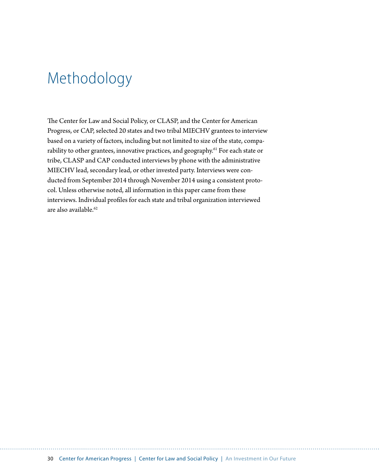# <span id="page-32-0"></span>Methodology

The Center for Law and Social Policy, or CLASP, and the Center for American Progress, or CAP, selected 20 states and two tribal MIECHV grantees to interview based on a variety of factors, including but not limited to size of the state, comparability to other grantees, innovative practices, and geography.<sup>61</sup> For each state or tribe, CLASP and CAP conducted interviews by phone with the administrative MIECHV lead, secondary lead, or other invested party. Interviews were conducted from September 2014 through November 2014 using a consistent protocol. Unless otherwise noted, all information in this paper came from these interviews. Individual profiles for each state and tribal organization interviewed are also available.<sup>62</sup>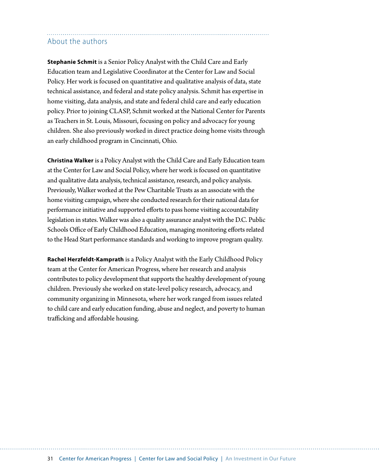# <span id="page-33-0"></span>About the authors

**Stephanie Schmit** is a Senior Policy Analyst with the Child Care and Early Education team and Legislative Coordinator at the Center for Law and Social Policy. Her work is focused on quantitative and qualitative analysis of data, state technical assistance, and federal and state policy analysis. Schmit has expertise in home visiting, data analysis, and state and federal child care and early education policy. Prior to joining CLASP, Schmit worked at the National Center for Parents as Teachers in St. Louis, Missouri, focusing on policy and advocacy for young children. She also previously worked in direct practice doing home visits through an early childhood program in Cincinnati, Ohio.

**Christina Walker** is a Policy Analyst with the Child Care and Early Education team at the Center for Law and Social Policy, where her work is focused on quantitative and qualitative data analysis, technical assistance, research, and policy analysis. Previously, Walker worked at the Pew Charitable Trusts as an associate with the home visiting campaign, where she conducted research for their national data for performance initiative and supported efforts to pass home visiting accountability legislation in states. Walker was also a quality assurance analyst with the D.C. Public Schools Office of Early Childhood Education, managing monitoring efforts related to the Head Start performance standards and working to improve program quality.

**Rachel Herzfeldt-Kamprath** is a Policy Analyst with the Early Childhood Policy team at the Center for American Progress, where her research and analysis contributes to policy development that supports the healthy development of young children. Previously she worked on state-level policy research, advocacy, and community organizing in Minnesota, where her work ranged from issues related to child care and early education funding, abuse and neglect, and poverty to human trafficking and affordable housing.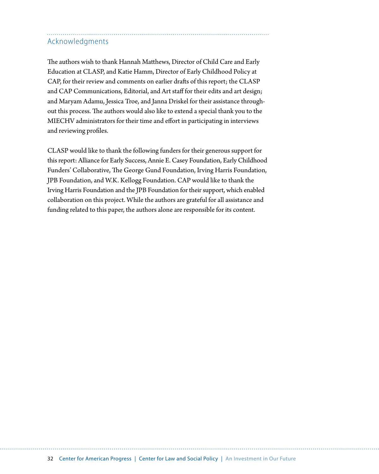# <span id="page-34-0"></span>Acknowledgments

The authors wish to thank Hannah Matthews, Director of Child Care and Early Education at CLASP, and Katie Hamm, Director of Early Childhood Policy at CAP, for their review and comments on earlier drafts of this report; the CLASP and CAP Communications, Editorial, and Art staff for their edits and art design; and Maryam Adamu, Jessica Troe, and Janna Driskel for their assistance throughout this process. The authors would also like to extend a special thank you to the MIECHV administrators for their time and effort in participating in interviews and reviewing profiles.

CLASP would like to thank the following funders for their generous support for this report: Alliance for Early Success, Annie E. Casey Foundation, Early Childhood Funders' Collaborative, The George Gund Foundation, Irving Harris Foundation, JPB Foundation, and W.K. Kellogg Foundation. CAP would like to thank the Irving Harris Foundation and the JPB Foundation for their support, which enabled collaboration on this project. While the authors are grateful for all assistance and funding related to this paper, the authors alone are responsible for its content.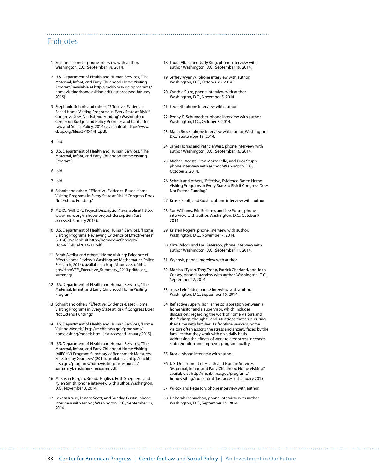## <span id="page-35-0"></span>Endnotes

- 1 Suzanne Leonelli, phone interview with author, Washington, D.C., September 18, 2014.
- 2 U.S. Department of Health and Human Services, "The Maternal, Infant, and Early Childhood Home Visiting Program," available at [http://mchb.hrsa.gov/programs/](http://mchb.hrsa.gov/programs/homevisiting/homevisiting.pdf) [homevisiting/homevisiting.pdf](http://mchb.hrsa.gov/programs/homevisiting/homevisiting.pdf) (last accessed January 2015).
- 3 Stephanie Schmit and others, "Effective, Evidence-Based Home Visiting Programs in Every State at Risk if Congress Does Not Extend Funding" (Washington: Center on Budget and Policy Priorities and Center for Law and Social Policy, 2014), available at [http://www.](http://www.cbpp.org/files/3-10-14hv.pdf) [cbpp.org/files/3-10-14hv.pdf](http://www.cbpp.org/files/3-10-14hv.pdf).
- 4 Ibid.
- 5 U.S. Department of Health and Human Services, "The Maternal, Infant, and Early Childhood Home Visiting Program.
- 6 Ibid.
- 7 Ibid.
- 8 Schmit and others, "Effective, Evidence-Based Home Visiting Programs in Every State at Risk if Congress Does Not Extend Funding."
- 9 MDRC, "MIHOPE Project Description," available at [http://](http://www.mdrc.org/mihope-project-description) [www.mdrc.org/mihope-project-description](http://www.mdrc.org/mihope-project-description) (last accessed January 2015).
- 10 U.S. Department of Health and Human Services, "Home Visiting Programs: Reviewing Evidence of Effectiveness" (2014), available at [http://homvee.acf.hhs.gov/](http://homvee.acf.hhs.gov/HomVEE-Brief2014-13.pdf) [HomVEE-Brief2014-13.pdf](http://homvee.acf.hhs.gov/HomVEE-Brief2014-13.pdf).
- 11 Sarah Avellar and others, "Home Visiting: Evidence of Effectiveness Review" (Washington: Mathematica Policy Research, 2014), available at http://homvee.acf.hhs. gov/HomVEE\_Executive\_Summary\_2013.pdf#exec\_ <sub>-</sub><br>summary.
- 12 U.S. Department of Health and Human Services, "The Maternal, Infant, and Early Childhood Home Visiting Program."
- 13 Schmit and others, "Effective, Evidence-Based Home Visiting Programs in Every State at Risk if Congress Does Not Extend Funding."
- 14 U.S. Department of Health and Human Services, "Home Visiting Models," [http://mchb.hrsa.gov/programs/](http://mchb.hrsa.gov/programs/homevisiting/models.html) [homevisiting/models.html](http://mchb.hrsa.gov/programs/homevisiting/models.html) (last accessed January 2015).
- 15 U.S. Department of Health and Human Services, "The Maternal, Infant, and Early Childhood Home Visiting (MIECHV) Program: Summary of Benchmark Measures Selected by Grantees" (2014), available at [http://mchb.](http://mchb.hrsa.gov/programs/homevisiting/ta/resources/summarybenchmarkmeasures.pdf) [hrsa.gov/programs/homevisiting/ta/resources/](http://mchb.hrsa.gov/programs/homevisiting/ta/resources/summarybenchmarkmeasures.pdf) [summarybenchmarkmeasures.pdf.](http://mchb.hrsa.gov/programs/homevisiting/ta/resources/summarybenchmarkmeasures.pdf)
- 16 M. Susan Burgan, Brenda English, Ruth Shepherd, and Kylen Smith, phone interview with author, Washington, D.C., November 3, 2014.
- 17 Lakota Kruse, Lenore Scott, and Sunday Gustin, phone interview with author, Washington, D.C., September 12, 2014.
- 18 Laura Alfani and Judy King, phone interview with author, Washington, D.C., September 19, 2014.
- 19 Jeffrey Wynnyk, phone interview with author, Washington, D.C., October 26, 2014.
- 20 Cynthia Suire, phone interview with author, Washington, D.C., November 5, 2014.
- 21 Leonelli, phone interview with author.

- 22 Penny K. Schumacher, phone interview with author, Washington, D.C., October 3, 2014.
- 23 Maria Brock, phone interview with author, Washington, D.C., September 15, 2014.
- 24 Janet Horras and Patricia West, phone interview with author, Washington, D.C., September 16, 2014.
- 25 Michael Acosta, Fran Mazzariello, and Erica Stupp, phone interview with author, Washington, D.C., October 2, 2014.
- 26 Schmit and others, "Effective, Evidence-Based Home Visiting Programs in Every State at Risk if Congress Does Not Extend Funding."
- 27 Kruse, Scott, and Gustin, phone interview with author.
- 28 Sue Williams, Eric Bellamy, and Lee Porter, phone interview with author, Washington, D.C., October 7, 2014.
- 29 Kristen Rogers, phone interview with author, Washington, D.C., November 7, 2014.
- 30 Cate Wilcox and Lari Peterson, phone interview with author, Washington, D.C., September 11, 2014.
- 31 Wynnyk, phone interview with author.
- 32 Marshall Tyson, Tony Troop, Patrick Charland, and Joan Crissey, phone interview with author, Washington, D.C., September 22, 2014.
- 33 Jesse Leinfelder, phone interview with author, Washington, D.C., September 10, 2014.
- 34 Reflective supervision is the collaboration between a home visitor and a supervisor, which includes discussions regarding the work of home visitors and the feelings, thoughts, and situations that arise during their time with families. As frontline workers, home visitors often absorb the stress and anxiety faced by the families that they work with on a daily basis. Addressing the effects of work-related stress increases staff retention and improves program quality.
- 35 Brock, phone interview with author.
- 36 U.S. Department of Health and Human Services, "Maternal, Infant, and Early Childhood Home Visiting," available at [http://mchb.hrsa.gov/programs/](http://mchb.hrsa.gov/programs/homevisiting/index.html) [homevisiting/index.html](http://mchb.hrsa.gov/programs/homevisiting/index.html) (last accessed January 2015).
- 37 Wilcox and Peterson, phone interview with author.
- 38 Deborah Richardson, phone interview with author, Washington, D.C., September 15, 2014.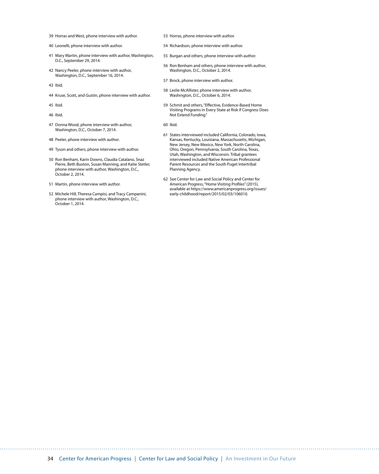- 39 Horras and West, phone interview with author.
- 40 Leonelli, phone interview with author.
- 41 Mary Martin, phone interview with author, Washington, D.C., September 29, 2014.
- 42 Nancy Peeler, phone interview with author, Washington, D.C., September 16, 2014.
- 43 Ibid.
- 44 Kruse, Scott, and Gustin, phone interview with author.
- 45 Ibid.
- 46 Ibid.
- 47 Donna Wood, phone interview with author, Washington, D.C., October 7, 2014.
- 48 Peeler, phone interview with author.
- 49 Tyson and others, phone interview with author.
- 50 Ron Benham, Karin Downs, Claudia Catalano, Snaz Pierre, Beth Buxton, Susan Manning, and Katie Stetler, phone interview with author, Washington, D.C., October 2, 2014.
- 51 Martin, phone interview with author.
- 52 Michele Hill, Theresa Campisi, and Tracy Campanini, phone interview with author, Washington, D.C., October 1, 2014.
- 53 Horras, phone interview with author.
- 54 Richardson, phone interview with author.
- 55 Burgan and others, phone interview with author.
- 56 Ron Benham and others, phone interview with author, Washington, D.C., October 2, 2014.
- 57 Brock, phone interview with author.
- 58 Leslie McAllister, phone interview with author, Washington, D.C., October 6, 2014.
- 59 Schmit and others, "Effective, Evidence-Based Home Visiting Programs in Every State at Risk if Congress Does Not Extend Funding."
- 60 Ibid.
- 61 States interviewed included California, Colorado, Iowa, Kansas, Kentucky, Louisiana, Massachusetts, Michigan, New Jersey, New Mexico, New York, North Carolina, Ohio, Oregon, Pennsylvania, South Carolina, Texas, Utah, Washington, and Wisconsin. Tribal grantees interviewed included Native American Professional Parent Resources and the South Puget Intertribal Planning Agency.
- 62 See Center for Law and Social Policy and Center for American Progress, "Home Visiting Profiles" (2015), available at [https://www.americanprogress.org/issues/](https://www.americanprogress.org/issues/early-childhood/report/2015/02/03/106010) [early-childhood/report/2015/02/03/106010.](https://www.americanprogress.org/issues/early-childhood/report/2015/02/03/106010)